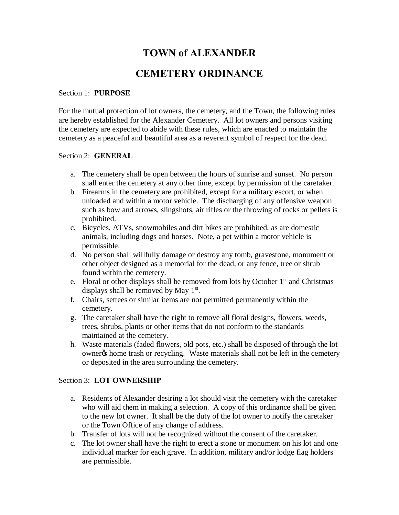# **TOWN of ALEXANDER**

## **CEMETERY ORDINANCE**

#### Section 1: **PURPOSE**

For the mutual protection of lot owners, the cemetery, and the Town, the following rules are hereby established for the Alexander Cemetery. All lot owners and persons visiting the cemetery are expected to abide with these rules, which are enacted to maintain the cemetery as a peaceful and beautiful area as a reverent symbol of respect for the dead.

#### Section 2: **GENERAL**

- a. The cemetery shall be open between the hours of sunrise and sunset. No person shall enter the cemetery at any other time, except by permission of the caretaker.
- b. Firearms in the cemetery are prohibited, except for a military escort, or when unloaded and within a motor vehicle. The discharging of any offensive weapon such as bow and arrows, slingshots, air rifles or the throwing of rocks or pellets is prohibited.
- c. Bicycles, ATVs, snowmobiles and dirt bikes are prohibited, as are domestic animals, including dogs and horses. Note, a pet within a motor vehicle is permissible.
- d. No person shall willfully damage or destroy any tomb, gravestone, monument or other object designed as a memorial for the dead, or any fence, tree or shrub found within the cemetery.
- e. Floral or other displays shall be removed from lots by October  $1<sup>st</sup>$  and Christmas displays shall be removed by May  $1<sup>st</sup>$ .
- f. Chairs, settees or similar items are not permitted permanently within the cemetery.
- g. The caretaker shall have the right to remove all floral designs, flowers, weeds, trees, shrubs, plants or other items that do not conform to the standards maintained at the cemetery.
- h. Waste materials (faded flowers, old pots, etc.) shall be disposed of through the lot owner% home trash or recycling. Waste materials shall not be left in the cemetery or deposited in the area surrounding the cemetery.

#### Section 3: **LOT OWNERSHIP**

- a. Residents of Alexander desiring a lot should visit the cemetery with the caretaker who will aid them in making a selection. A copy of this ordinance shall be given to the new lot owner. It shall be the duty of the lot owner to notify the caretaker or the Town Office of any change of address.
- b. Transfer of lots will not be recognized without the consent of the caretaker.
- c. The lot owner shall have the right to erect a stone or monument on his lot and one individual marker for each grave. In addition, military and/or lodge flag holders are permissible.